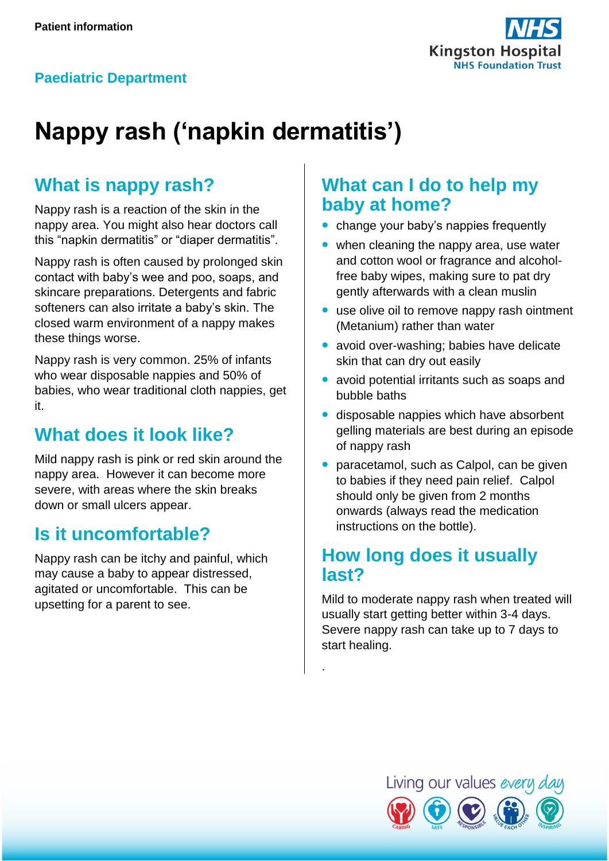

# **Nappy rash ('napkin dermatitis')**

## **What is nappy rash?**

Nappy rash is a reaction of the skin in the nappy area. You might also hear doctors call this "napkin dermatitis" or "diaper dermatitis".

Nappy rash is often caused by prolonged skin contact with baby's wee and poo, soaps, and skincare preparations. Detergents and fabric softeners can also irritate a baby's skin. The closed warm environment of a nappy makes these things worse.

Nappy rash is very common. 25% of infants who wear disposable nappies and 50% of babies, who wear traditional cloth nappies, get it.

## **What does it look like?**

Mild nappy rash is pink or red skin around the nappy area. However it can become more severe, with areas where the skin breaks down or small ulcers appear.

### **Is it uncomfortable?**

Nappy rash can be itchy and painful, which may cause a baby to appear distressed, agitated or uncomfortable. This can be upsetting for a parent to see.

#### **What can I do to help my baby at home?**

- change your baby's nappies frequently
- when cleaning the nappy area, use water and cotton wool or fragrance and alcoholfree baby wipes, making sure to pat dry gently afterwards with a clean muslin
- use olive oil to remove nappy rash ointment (Metanium) rather than water
- avoid over-washing; babies have delicate skin that can dry out easily
- avoid potential irritants such as soaps and bubble baths
- disposable nappies which have absorbent gelling materials are best during an episode of nappy rash
- paracetamol, such as Calpol, can be given to babies if they need pain relief. Calpol should only be given from 2 months onwards (always read the medication instructions on the bottle).

#### **How long does it usually last?**

.

Mild to moderate nappy rash when treated will usually start getting better within 3-4 days. Severe nappy rash can take up to 7 days to start healing.